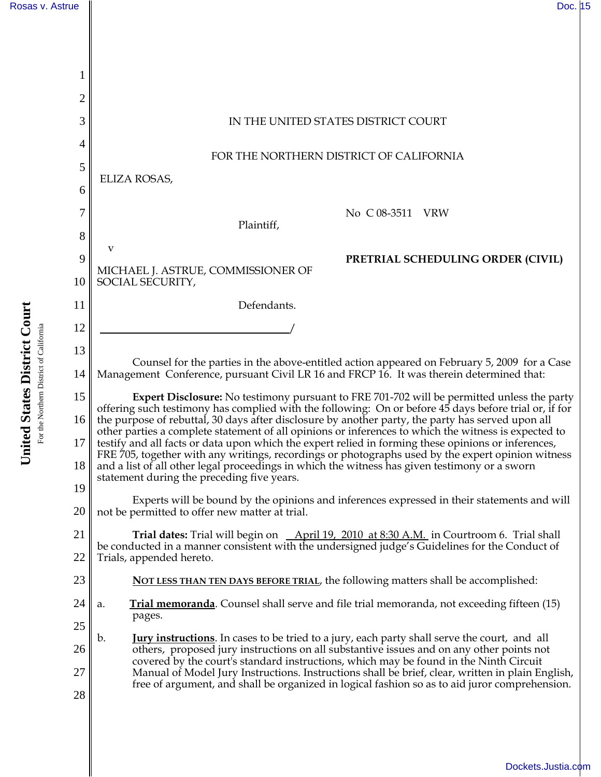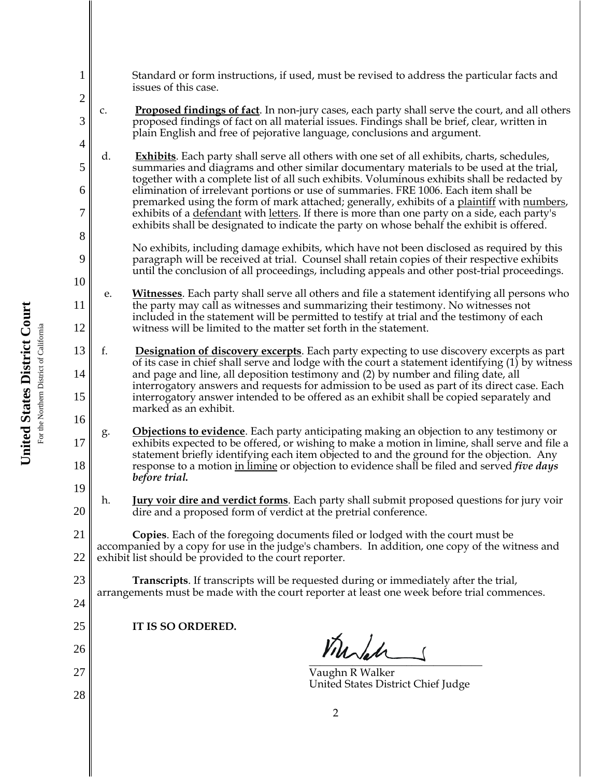| 1                   | Standard or form instructions, if used, must be revised to address the particular facts and<br>issues of this case.                                                                                                                                                                                       |
|---------------------|-----------------------------------------------------------------------------------------------------------------------------------------------------------------------------------------------------------------------------------------------------------------------------------------------------------|
| $\overline{c}$<br>3 | <b>Proposed findings of fact</b> . In non-jury cases, each party shall serve the court, and all others<br>c.<br>proposed findings of fact on all material issues. Findings shall be brief, clear, written in<br>plain English and free of pejorative language, conclusions and argument.                  |
| $\overline{4}$<br>5 | <b>Exhibits</b> . Each party shall serve all others with one set of all exhibits, charts, schedules,<br>d.<br>summaries and diagrams and other similar documentary materials to be used at the trial,                                                                                                     |
| 6                   | together with a complete list of all such exhibits. Voluminous exhibits shall be redacted by<br>elimination of irrelevant portions or use of summaries. FRE 1006. Each item shall be                                                                                                                      |
| 7                   | premarked using the form of mark attached; generally, exhibits of a plaintiff with numbers,<br>exhibits of a <u>defendant</u> with <u>letters</u> . If there is more than one party on a side, each party's<br>exhibits shall be designated to indicate the party on whose behalf the exhibit is offered. |
| 8<br>9              | No exhibits, including damage exhibits, which have not been disclosed as required by this<br>paragraph will be received at trial. Counsel shall retain copies of their respective exhibits<br>until the conclusion of all proceedings, including appeals and other post-trial proceedings.                |
| 10                  | Witnesses. Each party shall serve all others and file a statement identifying all persons who                                                                                                                                                                                                             |
| 11                  | e.<br>the party may call as witnesses and summarizing their testimony. No witnesses not<br>included in the statement will be permitted to testify at trial and the testimony of each                                                                                                                      |
| 12                  | witness will be limited to the matter set forth in the statement.                                                                                                                                                                                                                                         |
| 13<br>14            | f.<br><b>Designation of discovery excerpts</b> . Each party expecting to use discovery excerpts as part<br>of its case in chief shall serve and lodge with the court a statement identifying (1) by witness<br>and page and line, all deposition testimony and (2) by number and filing date, all         |
| 15                  | interrogatory answers and requests for admission to be used as part of its direct case. Each<br>interrogatory answer intended to be offered as an exhibit shall be copied separately and<br>marked as an exhibit.                                                                                         |
| 16<br>17            | <b>Objections to evidence</b> . Each party anticipating making an objection to any testimony or<br>g.<br>exhibits expected to be offered, or wishing to make a motion in limine, shall serve and file a<br>statement briefly identifying each item objected to and the ground for the objection. Any      |
| 18<br>19            | response to a motion in limine or objection to evidence shall be filed and served <i>five days</i><br>before trial.                                                                                                                                                                                       |
| 20                  | <b>Jury voir dire and verdict forms</b> . Each party shall submit proposed questions for jury voir<br>h.<br>dire and a proposed form of verdict at the pretrial conference.                                                                                                                               |
| 21                  | <b>Copies.</b> Each of the foregoing documents filed or lodged with the court must be                                                                                                                                                                                                                     |
| 22                  | accompanied by a copy for use in the judge's chambers. In addition, one copy of the witness and<br>exhibit list should be provided to the court reporter.                                                                                                                                                 |
| 23                  | <b>Transcripts</b> . If transcripts will be requested during or immediately after the trial,<br>arrangements must be made with the court reporter at least one week before trial commences.                                                                                                               |
| 24                  |                                                                                                                                                                                                                                                                                                           |
| 25                  | IT IS SO ORDERED.                                                                                                                                                                                                                                                                                         |
| 26                  | Murch                                                                                                                                                                                                                                                                                                     |
| 27                  | Vaughn R Walker<br>United States District Chief Judge                                                                                                                                                                                                                                                     |
| 28                  |                                                                                                                                                                                                                                                                                                           |
|                     | 2                                                                                                                                                                                                                                                                                                         |

United States District Court **United States District Court** For the Northern District of California For the Northern District of California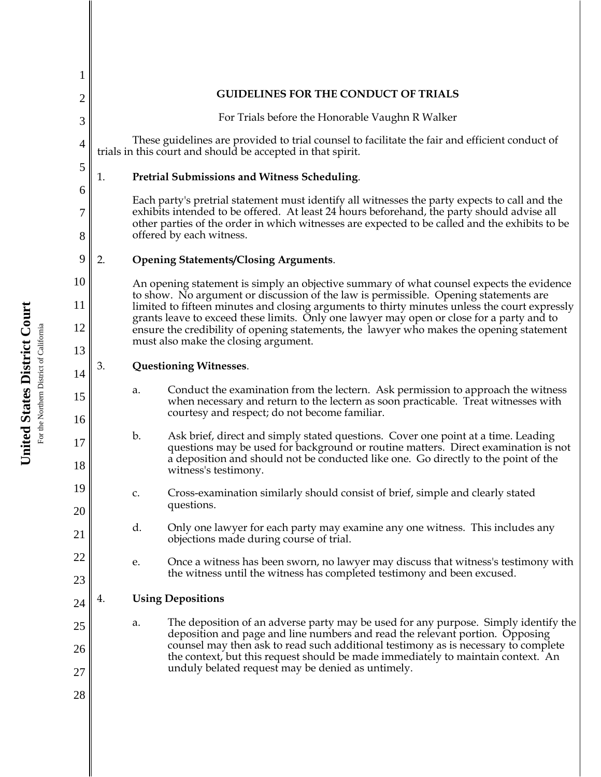| $\overline{2}$<br>3<br>4<br>5<br>1. | <b>GUIDELINES FOR THE CONDUCT OF TRIALS</b><br>For Trials before the Honorable Vaughn R Walker<br>These guidelines are provided to trial counsel to facilitate the fair and efficient conduct of<br>trials in this court and should be accepted in that spirit.<br><b>Pretrial Submissions and Witness Scheduling.</b> |
|-------------------------------------|------------------------------------------------------------------------------------------------------------------------------------------------------------------------------------------------------------------------------------------------------------------------------------------------------------------------|
|                                     |                                                                                                                                                                                                                                                                                                                        |
|                                     |                                                                                                                                                                                                                                                                                                                        |
|                                     |                                                                                                                                                                                                                                                                                                                        |
|                                     |                                                                                                                                                                                                                                                                                                                        |
| 6                                   | Each party's pretrial statement must identify all witnesses the party expects to call and the                                                                                                                                                                                                                          |
| 7<br>8                              | exhibits intended to be offered. At least 24 hours beforehand, the party should advise all<br>other parties of the order in which witnesses are expected to be called and the exhibits to be<br>offered by each witness.                                                                                               |
| 9<br>2.                             | <b>Opening Statements/Closing Arguments.</b>                                                                                                                                                                                                                                                                           |
| 10                                  | An opening statement is simply an objective summary of what counsel expects the evidence                                                                                                                                                                                                                               |
| 11                                  | to show. No argument or discussion of the law is permissible. Opening statements are<br>limited to fifteen minutes and closing arguments to thirty minutes unless the court expressly                                                                                                                                  |
| 12                                  | grants leave to exceed these limits. Only one lawyer may open or close for a party and to<br>ensure the credibility of opening statements, the lawyer who makes the opening statement                                                                                                                                  |
| 13                                  | must also make the closing argument.                                                                                                                                                                                                                                                                                   |
| 3.<br>14                            | <b>Questioning Witnesses.</b>                                                                                                                                                                                                                                                                                          |
| a.<br>15<br>16                      | Conduct the examination from the lectern. Ask permission to approach the witness<br>when necessary and return to the lectern as soon practicable. Treat witnesses with<br>courtesy and respect; do not become familiar.                                                                                                |
| $\mathbf{b}$ .<br>17<br>18          | Ask brief, direct and simply stated questions. Cover one point at a time. Leading<br>questions may be used for background or routine matters. Direct examination is not<br>a deposition and should not be conducted like one. Go directly to the point of the<br>witness's testimony.                                  |
| 19<br>c.                            | Cross-examination similarly should consist of brief, simple and clearly stated                                                                                                                                                                                                                                         |
| 20                                  | questions.                                                                                                                                                                                                                                                                                                             |
| d.<br>21                            | Only one lawyer for each party may examine any one witness. This includes any<br>objections made during course of trial.                                                                                                                                                                                               |
| 22<br>e.                            | Once a witness has been sworn, no lawyer may discuss that witness's testimony with                                                                                                                                                                                                                                     |
| 23                                  | the witness until the witness has completed testimony and been excused.                                                                                                                                                                                                                                                |
| 4.<br>24                            | <b>Using Depositions</b>                                                                                                                                                                                                                                                                                               |
| a.<br>25                            | The deposition of an adverse party may be used for any purpose. Simply identify the<br>deposition and page and line numbers and read the relevant portion. Opposing                                                                                                                                                    |
| 26                                  | counsel may then ask to read such additional testimony as is necessary to complete<br>the context, but this request should be made immediately to maintain context. An                                                                                                                                                 |
| 27                                  | unduly belated request may be denied as untimely.                                                                                                                                                                                                                                                                      |
| 28                                  |                                                                                                                                                                                                                                                                                                                        |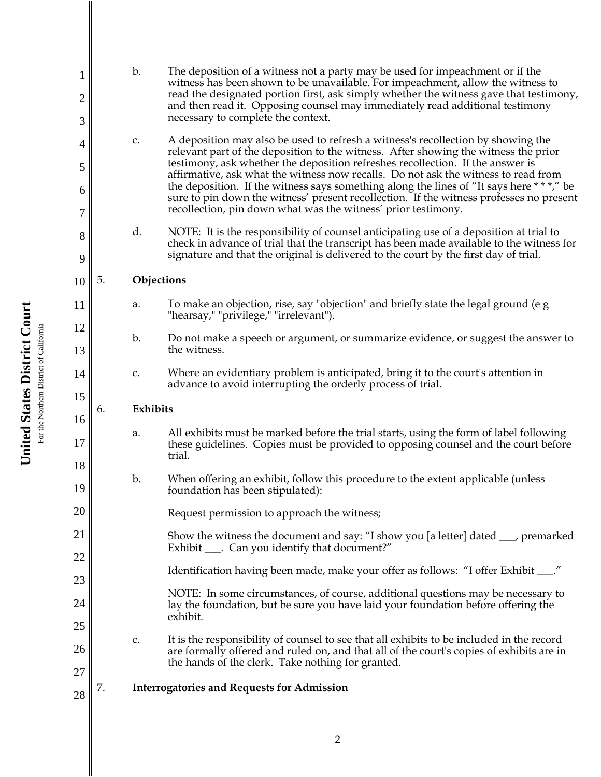| 1              |    | b.           | The deposition of a witness not a party may be used for impeachment or if the<br>witness has been shown to be unavailable. For impeachment, allow the witness to                                                                                                           |
|----------------|----|--------------|----------------------------------------------------------------------------------------------------------------------------------------------------------------------------------------------------------------------------------------------------------------------------|
| $\overline{2}$ |    |              | read the designated portion first, ask simply whether the witness gave that testimony,<br>and then read it. Opposing counsel may immediately read additional testimony                                                                                                     |
| 3              |    |              | necessary to complete the context.                                                                                                                                                                                                                                         |
| 4              |    | c.           | A deposition may also be used to refresh a witness's recollection by showing the<br>relevant part of the deposition to the witness. After showing the witness the prior                                                                                                    |
| 5              |    |              | testimony, ask whether the deposition refreshes recollection. If the answer is<br>affirmative, ask what the witness now recalls. Do not ask the witness to read from<br>the deposition. If the witness says something along the lines of "It says here ***," be            |
| 6<br>7         |    |              | sure to pin down the witness' present recollection. If the witness professes no present<br>recollection, pin down what was the witness' prior testimony.                                                                                                                   |
| 8<br>9         |    | d.           | NOTE: It is the responsibility of counsel anticipating use of a deposition at trial to<br>check in advance of trial that the transcript has been made available to the witness for<br>signature and that the original is delivered to the court by the first day of trial. |
| 10             | 5. | Objections   |                                                                                                                                                                                                                                                                            |
| 11             |    | a.           | To make an objection, rise, say "objection" and briefly state the legal ground (e g<br>"hearsay," "privilege," "irrelevant").                                                                                                                                              |
| 12             |    | b.           | Do not make a speech or argument, or summarize evidence, or suggest the answer to                                                                                                                                                                                          |
| 13             |    |              | the witness.                                                                                                                                                                                                                                                               |
| 14             |    | $\mathsf C.$ | Where an evidentiary problem is anticipated, bring it to the court's attention in<br>advance to avoid interrupting the orderly process of trial.                                                                                                                           |
| 15<br>16       | 6. | Exhibits     |                                                                                                                                                                                                                                                                            |
| 17             |    | a.           | All exhibits must be marked before the trial starts, using the form of label following<br>these guidelines. Copies must be provided to opposing counsel and the court before<br>trial.                                                                                     |
| 18             |    | b.           | When offering an exhibit, follow this procedure to the extent applicable (unless                                                                                                                                                                                           |
| 19             |    |              | foundation has been stipulated):                                                                                                                                                                                                                                           |
| 20             |    |              | Request permission to approach the witness;                                                                                                                                                                                                                                |
| 21             |    |              | Show the witness the document and say: "I show you [a letter] dated ____, premarked<br>Exhibit ____. Can you identify that document?"                                                                                                                                      |
| 22             |    |              |                                                                                                                                                                                                                                                                            |
| 23             |    |              | Identification having been made, make your offer as follows: "I offer Exhibit ___."                                                                                                                                                                                        |
| 24             |    |              | NOTE: In some circumstances, of course, additional questions may be necessary to<br>lay the foundation, but be sure you have laid your foundation before offering the<br>exhibit.                                                                                          |
| 25             |    | c.           | It is the responsibility of counsel to see that all exhibits to be included in the record                                                                                                                                                                                  |
| 26             |    |              | are formally offered and ruled on, and that all of the court's copies of exhibits are in<br>the hands of the clerk. Take nothing for granted.                                                                                                                              |
| 27             | 7. |              | <b>Interrogatories and Requests for Admission</b>                                                                                                                                                                                                                          |
| 28             |    |              |                                                                                                                                                                                                                                                                            |

United States District Court **United States District Court** For the Northern District of California For the Northern District of California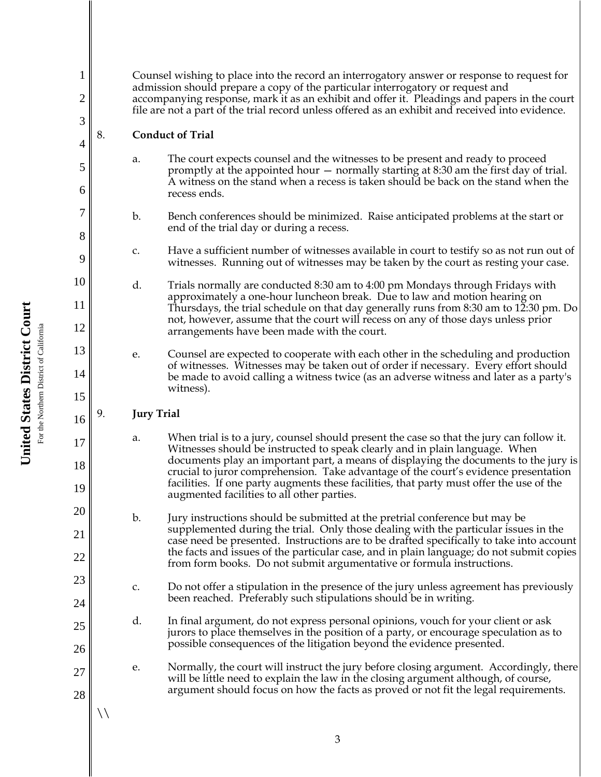Counsel wishing to place into the record an interrogatory answer or response to request for admission should prepare a copy of the particular interrogatory or request and accompanying response, mark it as an exhibit and offer it. Pleadings and papers in the court file are not a part of the trial record unless offered as an exhibit and received into evidence.

## 8. **Conduct of Trial**

1

2

3

4

5

6

7

8

9

10

11

12

13

14

15

16

17

18

19

20

21

22

23

24

25

26

27

28

 $\setminus$ 

- a. The court expects counsel and the witnesses to be present and ready to proceed promptly at the appointed hour — normally starting at 8:30 am the first day of trial. A witness on the stand when a recess is taken should be back on the stand when the recess ends.
- b. Bench conferences should be minimized. Raise anticipated problems at the start or end of the trial day or during a recess.
- c. Have a sufficient number of witnesses available in court to testify so as not run out of witnesses. Running out of witnesses may be taken by the court as resting your case.
- d. Trials normally are conducted 8:30 am to 4:00 pm Mondays through Fridays with approximately a one-hour luncheon break. Due to law and motion hearing on Thursdays, the trial schedule on that day generally runs from 8:30 am to 12:30 pm. Do not, however, assume that the court will recess on any of those days unless prior arrangements have been made with the court.
	- e. Counsel are expected to cooperate with each other in the scheduling and production of witnesses. Witnesses may be taken out of order if necessary. Every effort should be made to avoid calling a witness twice (as an adverse witness and later as a party's witness).

## 9. **Jury Trial**

- a. When trial is to a jury, counsel should present the case so that the jury can follow it. Witnesses should be instructed to speak clearly and in plain language. When documents play an important part, a means of displaying the documents to the jury is crucial to juror comprehension. Take advantage of the court's evidence presentation facilities. If one party augments these facilities, that party must offer the use of the augmented facilities to all other parties.
- b. Jury instructions should be submitted at the pretrial conference but may be supplemented during the trial. Only those dealing with the particular issues in the case need be presented. Instructions are to be drafted specifically to take into account the facts and issues of the particular case, and in plain language; do not submit copies from form books. Do not submit argumentative or formula instructions.
- c. Do not offer a stipulation in the presence of the jury unless agreement has previously been reached. Preferably such stipulations should be in writing.
- d. In final argument, do not express personal opinions, vouch for your client or ask jurors to place themselves in the position of a party, or encourage speculation as to possible consequences of the litigation beyond the evidence presented.
- e. Normally, the court will instruct the jury before closing argument. Accordingly, there will be little need to explain the law in the closing argument although, of course, argument should focus on how the facts as proved or not fit the legal requirements.

**United States District Court** United States District Court For the Northern District of California For the Northern District of California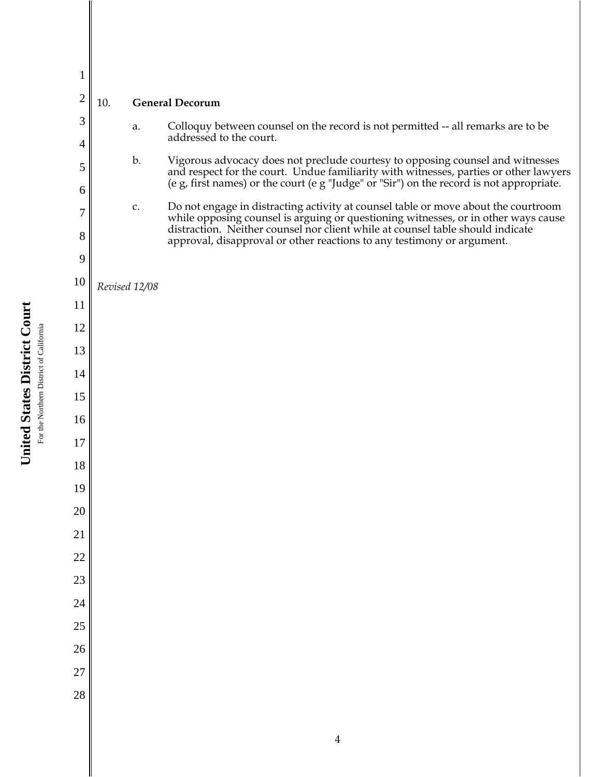| $\overline{2}$ | 10.           | <b>General Decorum</b>                                                                                                                                                                                                                                              |
|----------------|---------------|---------------------------------------------------------------------------------------------------------------------------------------------------------------------------------------------------------------------------------------------------------------------|
| 3<br>4         | a.            | Colloquy between counsel on the record is not permitted -- all remarks are to be<br>addressed to the court.                                                                                                                                                         |
| 5              | b.            | Vigorous advocacy does not preclude courtesy to opposing counsel and witnesses<br>and respect for the court. Undue familiarity with witnesses, parties or other lawyers<br>(e g, first names) or the court (e g "Judge" or "Sir") on the record is not appropriate. |
| 6              | $\mathsf C.$  | Do not engage in distracting activity at counsel table or move about the courtroom                                                                                                                                                                                  |
| 7<br>8         |               | while opposing counsel is arguing or questioning witnesses, or in other ways cause<br>distraction. Neither counsel nor client while at counsel table should indicate                                                                                                |
| 9              |               | approval, disapproval or other reactions to any testimony or argument.                                                                                                                                                                                              |
| 10             | Revised 12/08 |                                                                                                                                                                                                                                                                     |
| 11             |               |                                                                                                                                                                                                                                                                     |
| 12             |               |                                                                                                                                                                                                                                                                     |
| 13             |               |                                                                                                                                                                                                                                                                     |
| 14             |               |                                                                                                                                                                                                                                                                     |
| 15             |               |                                                                                                                                                                                                                                                                     |
| 16             |               |                                                                                                                                                                                                                                                                     |
| 17             |               |                                                                                                                                                                                                                                                                     |
| 18             |               |                                                                                                                                                                                                                                                                     |
| 19             |               |                                                                                                                                                                                                                                                                     |
| 20             |               |                                                                                                                                                                                                                                                                     |
| 21             |               |                                                                                                                                                                                                                                                                     |
| 22             |               |                                                                                                                                                                                                                                                                     |
| 23             |               |                                                                                                                                                                                                                                                                     |
| 24             |               |                                                                                                                                                                                                                                                                     |
| 25             |               |                                                                                                                                                                                                                                                                     |
| 26             |               |                                                                                                                                                                                                                                                                     |
| 27<br>28       |               |                                                                                                                                                                                                                                                                     |
|                |               |                                                                                                                                                                                                                                                                     |
|                |               |                                                                                                                                                                                                                                                                     |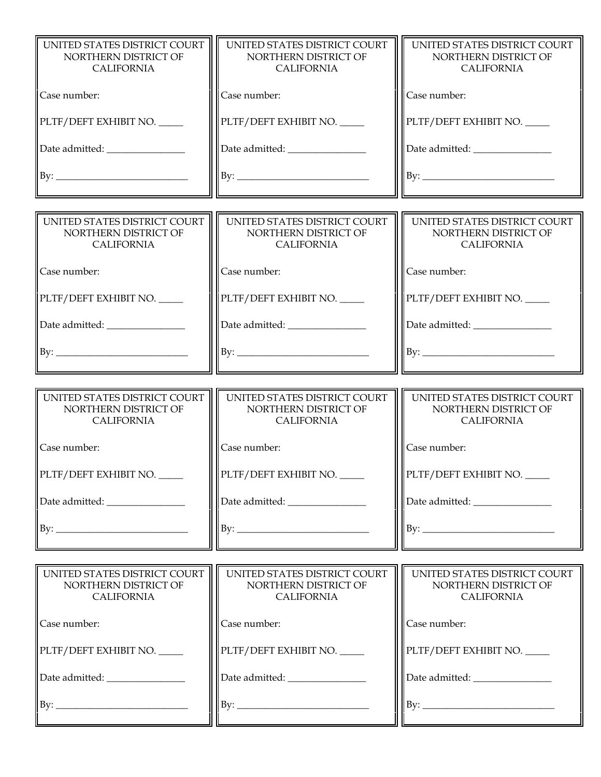| UNITED STATES DISTRICT COURT<br>NORTHERN DISTRICT OF<br><b>CALIFORNIA</b> | UNITED STATES DISTRICT COURT<br>NORTHERN DISTRICT OF<br><b>CALIFORNIA</b> | UNITED STATES DISTRICT COURT<br>NORTHERN DISTRICT OF<br><b>CALIFORNIA</b> |
|---------------------------------------------------------------------------|---------------------------------------------------------------------------|---------------------------------------------------------------------------|
| Case number:                                                              | Case number:                                                              | Case number:                                                              |
| PLTF/DEFT EXHIBIT NO.                                                     | PLTF/DEFT EXHIBIT NO.                                                     | PLTF/DEFT EXHIBIT NO.                                                     |
| Date admitted: _______________                                            | Date admitted: _______________                                            |                                                                           |
| By:                                                                       |                                                                           |                                                                           |
|                                                                           |                                                                           |                                                                           |
| UNITED STATES DISTRICT COURT<br>NORTHERN DISTRICT OF<br><b>CALIFORNIA</b> | UNITED STATES DISTRICT COURT<br>NORTHERN DISTRICT OF<br><b>CALIFORNIA</b> | UNITED STATES DISTRICT COURT<br>NORTHERN DISTRICT OF<br><b>CALIFORNIA</b> |
| Case number:                                                              | Case number:                                                              | Case number:                                                              |
| PLTF/DEFT EXHIBIT NO.                                                     | PLTF/DEFT EXHIBIT NO.                                                     | PLTF/DEFT EXHIBIT NO.                                                     |
| Date admitted: _______________                                            | Date admitted: _______________                                            |                                                                           |
| By:                                                                       |                                                                           |                                                                           |
|                                                                           |                                                                           |                                                                           |
|                                                                           |                                                                           |                                                                           |
| UNITED STATES DISTRICT COURT<br>NORTHERN DISTRICT OF<br><b>CALIFORNIA</b> | UNITED STATES DISTRICT COURT<br>NORTHERN DISTRICT OF<br><b>CALIFORNIA</b> | UNITED STATES DISTRICT COURT<br>NORTHERN DISTRICT OF<br><b>CALIFORNIA</b> |
| Case number:                                                              | Case number:                                                              | Case number:                                                              |
| PLTF/DEFT EXHIBIT NO.                                                     | PLTF/DEFT EXHIBIT NO.                                                     | PLTF/DEFT EXHIBIT NO.                                                     |
| Date admitted: ________________                                           | Date admitted: _______________                                            |                                                                           |
| By:                                                                       | By:                                                                       |                                                                           |
|                                                                           |                                                                           |                                                                           |
| UNITED STATES DISTRICT COURT<br>NORTHERN DISTRICT OF<br><b>CALIFORNIA</b> | UNITED STATES DISTRICT COURT<br>NORTHERN DISTRICT OF<br><b>CALIFORNIA</b> | UNITED STATES DISTRICT COURT<br>NORTHERN DISTRICT OF<br><b>CALIFORNIA</b> |
| Case number:                                                              | Case number:                                                              | Case number:                                                              |
| PLTF/DEFT EXHIBIT NO.                                                     | PLTF/DEFT EXHIBIT NO.                                                     | PLTF/DEFT EXHIBIT NO.                                                     |
| Date admitted: _________________                                          | Date admitted: _______________                                            | Date admitted: ________________                                           |